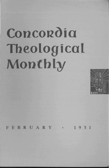# **Concordia Theological Montbly**



FEBRUARY · 1951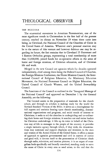# THEOLOGICAL OBSERVER

# THE NCCCUSA

The ecumenical movement in American Protestantism, one of the most significant trends in Christendom in the first half of the present century, reached its climax on November 29 when there came into being, in Cleveland, the National Council of the Churches of Christ in the United States of America. Whatever one's personal reaction may be to the nature of this venture and however dubious one may be regarding its future, the fact remains that in Cleveland 25 Protestant and 4 Eastern Orthodox groups, representing a total membership of more than 31,000,000, joined hands for co-operative efforts in the areas of home and foreign missions, of Christian education, and of Christian life and work.

Merged in the new Council are agencies which for decades operated independently, chief among them being the Federal Council of Churches, the Foreign Missions Conference, the Home Missions Council, the International Council of Religious Education, the Missionary Education Movement, the National Protestant Council on Higher Education, the United Council of Church Women, and the United Stewardship Council.

The functions of the Council as outlined in the "Inaugural Message of the National Council" and approved on December 1 by the General Assembly, are the following:

The Council assists in the preparation of materials for the church school, and through its scholars is making ready for the world the Revised Standard Version of the Bible; it serves as a clearinghouse for full reports and statistics bearing upon church membership, denominational organizations and programs, and social trends of interest to Christians; it seeks to aid the churches in undergirding and co-ordinating their home and foreign missions; it searches out and trains leaders for Christian undertakings; it lifts up its voice in behalf of the Christian way of life in messages to the people of the country; it provides a single inclusive agency through which, if they wish, the denominations may nominate and support chaplains and ministers to the men and women of the Armed Forces of the United States; it offers a means of approach to agencies governmental and civil in matters of justice and good will; it devotes itself to the presentation of Christian ideals through radio, television, and motion pictures; it is an organ of evangelism both specifically and broadly conceived, standing ready to serve the cause of Christ in every area as need arises, to the end that the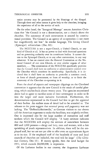entire country may be permeated by the blessings of the Gospel. Through these and other means it gives help to the churches, bringing the experience of all to the service of each.

On the other hand, the "Inaugural Message" assures American Christians that "the Council is not a denomination, not a church above the churches. The autonomy of each communion is assured by constitutional provision. The Council is an agency of co-operation — not more but magnificently not less." In similar language, *The Living Church*  (Episcopal) editorializes (Dec. 10) :

The NCCCUSA is not a super-Church, a United Church, or any kind of Church at all. It has no power to deal with doctrinal questions and no governing authority over its constituent bodies. It cannot dictate to the Episcopal Church, or to any other communion, in any way whatever. It has no control over the General Convention or the National Council of our own Church, or over similar organs of other members. . .. The constitution of the NCCCUSA specifically provides that the Council shall have no authority or administrative control over the Churches which constitute its membership. Specifically, it is declared that it shall have no authority to prescribe a common creed, or form of church government, or form of worship, or to limit the autonomy of the Churches co-operating in it.

From the sheaf of reports and newspaper clippings on the Cleveland convention it appears that the new Council is the result of careful planning, which reaches back almost twenty years. The agencies enumerated above had to agree to sacrifice some of their sovereignty in order to fit into the larger and more inclusive framework. Furthermore, the denominations represented in the Council had first to get the approval of their bodies. An endless mass of detail had to be attended to. The releases to the press suggest that external pomp and pageantry was not lacking. The "Oeffentlichkeitswille," as German visitors to our shores call the American eagerness to make the headlines, was mightily evident. One is impressed also by the large number of executives and staff workers which the Council will employ. "A hasty estimate indicates that the NCCCUSA will employ the services of somewhere between 800 and 1,000 persons — clergy and laity, men and women, with a fair sprinkling of youth representatives. In addition, there will be the employed staff, but we are not yet able to offer even an approximate figure as to its size. If the employed staff of the hundreds of state and local councils of churches are included, the total will be large" *(The Christian Century,* Dec. 13). If money speaks, then the total budget for 1951, which exceeds \$4,000,000, is impressive.

Of the Lutheran bodies in our country, the Augustana Lutheran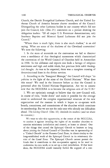Church, the Danish Evangelical Lutheran Church, and the United Lutheran Church of America became charter members of the Council. Disregarding the other Lutheran bodies in our country which did not join the Council, *Life* (Dec. 25) comments on a picture showing the delegation leaders: "Of all major U. S. Protestant denominations, only Southern Baptists and Missouri Synod Lutherans did not join the Council."

"Where there is much light, there is also much shadow," is an old saying. What are some of the shadows of the Cleveland convention? We note the following:

1. In the mass of materials on the convention we fail to discover even a semblance of that theological earnestness which characterized the convention of the World Council of Churches held in Amsterdam in 1948. In the addresses and reports one finds a farrago of religious sentiments and high and noble ideals, but precious little solid theological thought. As was to be expected, there was a complete crossing of denominational lines in the divine services.

2. According to the "Inaugural Message," the Council will shape "its policies in the light of the aims of the United Nations." What does this mean? We read in the literature before us that the Council is patterned after the United Nations Organization. Are we to assume now that the NCCCUSA is to become the religious arm of the U. N.?

3. \Ve are optimistic enough to believe that the new Council will, in course of time, "shake down" and make it possible for the average mind to understand the complex organizational structure of the new organization and the manner in which it hopes to co-operate with boards, committees, and commissions of the churches which constitute its membership. But we are not the only ones who already see difficulties ahead. *The Living Church* (Dec. 10) reminds its readers (and we share its concern) :

We want to take this opportunity, at the outset of the NCCCUSA, to caution it against invading the rights of its member churches to exercise missionary jurisdiction and control, at home or abroad. One of the things that caused the Episcopal Church to hesitate so long about joining the Federal Council of Churches was its sponsorship of a "United Church" in the Panama Canal Zone, in direct rivalry to the long-established work of the Episcopal Church in its missionary district of the Canal Zone. The Episcopal Church cannot permit the funds that it contributes to this co-operative agency to be used to undermine its own work, or to set up a rival jurisdiction. If that were done, the NCCCUSA would instantly forfeit the support of a con-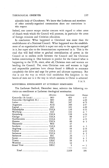### THEOLOGICAL OBSERVER 137

siderable body of Churchmen. We know that Lutherans and members of other centrally-organized communions share our convictions in this respect.

Indeed, one cannot escape similar concern with regard to other areas of church work which the Council will promote, in particular the areas of foreign missions and Christian education.

In conclusion: What happened at Cleveland was more than the establishment of a National Council. What happened was the establishment of an organization which is super not only to the agencies merged in it, but super also to the denominations represented in it. This is the road that will lead either to gradual centralization of power in the Council or to endless strife between the Council and the Christian bodies constituting it. One hesitates to predict for the Council what is happening to the U. N., since, after all, Christian men and women are heading the Council. Yet, even Christian men and women in high and responsible positions have always found it difficult to renounce completely the drive and urge for power and ultimate supremacy. But this is not the way in which God establishes His kingdom in the hearts of men nor is it the way in which oneness in Christ is achieved.

P.M.B.

## MINISTERIAL ENROLLMENT AT LUTHERAN SEMINARIES

The *Lutheran Outlook,* December issue, submits the following statistics on enrollment at Lutheran theological seminaries:

| Seminary                                       | Affiliation | Enrollment | Change |
|------------------------------------------------|-------------|------------|--------|
| $Concordia$ (St. Louis) $\ldots$               | MО          | 495        | $+51$  |
| Concordia (Springfield, Ill.)  MO              |             | 385        | $+48$  |
|                                                |             | 347        | $+75$  |
| Augustana ________________________________ AUG |             | 206        | $+57$  |
|                                                |             | 161        | $+26$  |
|                                                |             | 136        | $+33$  |
|                                                |             | 133        | $+$ 7  |
|                                                |             | 130        | $+24$  |
|                                                |             | 88         | $+17$  |
|                                                |             | 87         | $+15$  |
|                                                |             | 80         | $+5$   |
|                                                |             | 57         |        |
|                                                |             | 45         | $+3$   |
|                                                |             | 38         | +14    |
|                                                |             | 33         | $+12$  |
|                                                |             | 27         | $+2$   |
|                                                |             | 26         | - 1    |
|                                                |             | 20         | -1     |
|                                                |             | 18         | $+3$   |
|                                                |             | 12         |        |
|                                                |             | 5          | -1     |
|                                                |             |            |        |
|                                                |             | 2,529      | 391    |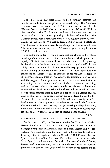The editor states that there seems to be a corollary between the number of students and the growth of a church body. The American Lutheran Conference has a total of 929 students, an increase of 18I. The five Conference bodies had a total increase in 1949 of 86,215 baptized members. The ULCA seminaries have 638 students enrolled, an increase of Ill. This Church gained 32,747 baptized members. The Missouri Synod, with a total enrollment of 880 resident students, representing an increase of 99 students, gained 60,149 baptized members. The Thiensville Seminary records no change in student enrollment. The increase of membership in the Wisconsin Synod during 1949 was 2,386 baptized members.

The editor concludes: "It would seem that the church bodies which build up their seminaries are the church bodies which grow most rapidly. Or is it just a coincidence that the more rapidly growing bodies also have the larger number of ministerial graduates?" It certainly is true that interest in missions generally keeps pace with interest in the training of workers for the Church. The above table does not reflect the enrollment of college students at the teachers' colleges of the Missouri Synod, a total of 772. And yet the training of our teachers and the support of our parochial schools is a tremendous factor in developing the mission spirit and one of the best agencies for doing real mission work where it is needed sorely, namely, on the home and congregational level. The mission-mindedness and the sacrificing spirit of our future teachers came to light in a report by Dr. Albert Huegli, dean of students at Concordia Teachers College, River Forest, Ill. Six Freshmen have turned down a total of \$2,069 in scholarships to other institutions in order to prepare themselves as teachers in the Lutheran elementary school system. Among the 191 entering College Freshmen, nine were salutatorians and ten valedictorians of their respective high schools, and forty-four are members of various honor societies.

F.E.M.

# ALL GERMAN LUTHERAN FREE CHURCHES IN FELLOWSHIP

On October 1, 1950, the Renitente Kirche der U. A. C. in Nieder-Hessen, founded by A. F. C. Vilmar in 1873, united with the Unabhaengige Evangelisch-Lutherische Kirche in Baden, Hessen und Niedersachsen. As a result there are now only four Lutheran Free Churches in Germany: The Evangelical Lutheran Church of Old Prussia (Breslau Synod), the Evangelical Lutheran Free Church in Germany (the Saxon Synod) , the Independent Evangelical Lutheran Church of Baden, Hessen, and Niedersachsen, and the recently established Evangelical Lutheran Refugee Mission (organized by pastors of the former Polish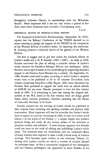# THEOLOGICAL OBSERVER 139

Evangelical Lutheran Church, in membership with the Wisconsin Synod). More important still is the fact that within a period of five short years these Lutherans have reached a God-pleasing unity.

F.E.M.

## HISTORICAL SKETCH OF WEIMAR-LUTHER EDITION

The *Evangelisch-Ltttherische Kirchenzeitung* (September 30, 1950) reports that the Bishops' Conference of the VELKD decided in its recent meeting to pledge the support of the VELKD in the completion of the Weimar Edition of Luther's works. In reporting this resolution, R. Jauernig presents a historical sketch of the genesis of the Weimar Edition.

The first to suggest and to put into action the scholarly edition of Luther's works was J. K. F. Knaake (1835-1905). As early as 1818, Knaake conceived the plan of editing a scientific edition of Luther's works, because the Frankfurt-Erlanger Edition was inadequate. Julius Koestlin encouraged Knaake in this undertaking by supporting Knaake's request to the Prussian State Minister for a subsidy. On September 22, 1880, Knaake submitted his plan, according to which Luther's complete works were to be published in 36 to 40 volumes *Grossoktav,* each volume comprising forty-five to fifty *Bogen.* After some discussion the Prussian State promised to support the work with an annual subsidy of 4,000 M. for ten years. Knaake promised to have the first volume ready in 1883. It is interesting to note that among the original subscribers of the WA, listed in the first volume, there are kings, grand dukes, dukes, eminent professors, churches, including also the library of Concordia Seminary at St. Louis.

Knaake insisted that the writings of Luther should be published in their original form, including also spelling mistakes and patently false punctuation. More important still was his principle that Luther's works were to appear in a strictly chronological order, so that the student could obtain - in the words of the Preface - "a deeper insight into Luther's spiritual being and work, all the various phases of his activities as preacher, teacher, and reformer." It soon became apparent that Knaake could not carry on the work of editing and publishing Luther's works alone. The materials were too voluminous, and the combined efforts of many scholars were required to issue a really critical study of Luther's writings. This becomes quite evident as one examines Volume 35, dealing with Luther's hymns, on which a number of scholars labored for seventeen years. At first a commission composed of two theologians and two German philologists was appointed to assist Knaake in his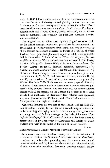work. In 1882 Julius Koestlin was added to the commission, and since that time the ratio of theologians and philologists was three to two. In the course of almost seventy years many outstanding scholars have participated in this tremendous undertaking. In addition to Knaake and Koestlin such men as Otto Clemen, George Buchwald, and E. Kroker must be mentioned, and especially the publisher, Hermann Boehlau and his successors.

The original plan to follow a strictly chronological sequence could not be carried through consistently, particularly because research uncovered some previously unknown manuscripts. This was true especially of the lectures on Romans delivered by Luther in *1515/16,* of which Joachim Ficker published photostatic copies in 1908. This significant find is embodied in Volume 56 of the WA. The original plan was amplified so that the WA is divided into four sections: 1. *Die Werke; 2. Table Talks;* 3. *The German Bible;* 4. *Luther's Correspondence. Die*  Werke-Luther's exegetical, doctrinal, polemical, homiletical, catechetical, and miscellaneous writings  $-$  are contained in Volumes 1 $-$ 54, 56,57, and 58 containing the Index. However, it must be kept in mind that Volumes 17,31, 34, 39, each have two sections; Volumes 10, 30, and 40, three sections. A total of sixty-nine volumes comprises *Die*  Werke. The Table Talks fill six volumes and were prepared chiefly by E. Kroker. Luther's correspondence is contained in eleven volumes, prepared chiefly by Otto Clemen. The plan now calls for twelve volumes dealing with all the material on the German Bible; eight of these have already been published. To date ninety-four volumes have appeared, sixty-nine devoted to *Die Werke,* six to the *Table Talks,* eleven to the *Correspondence,* and eight to the *Bible.* 

Concordia Seminary has two sets of this scientific and scholarly edition **of** Luther's works. In this day of a reawakening of interest in Luther's theology it is highly desirable that our young theologians make a thorough study of Luther's theology on the basis of his own *"theologische Werdegang."* Pritzlaff Library of Concordia Seminary hopes to become increasingly a depository for Lutherana and thereby to attract students who wish to specialize in the field of Luther research.

F.E.M.

#### MORE PROTESTANT MISSION WORK IN NORTHERN AFRICA

In a recent issue the *Christian Century* directed the attention of its readers to the fact that Northern Africa, from Cairo to Casablanca, constitutes an indisputably promising area for more extensive and intensive mission work by Protestant denominations. The mission call of this wide-awake periodical, frequently showing unusual insight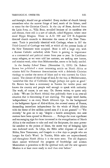and foresight, should not go unheeded. Every student of church history remembers what the narrow fringe of land, north of the Sahara, used to mean for the Christian Church. In the city of Bone, derived from the latin *bona) se.)* Villa Bona, so-called because of its excellent site and climate, there still is a sort of suburb, called Hippone, where once stood Hippo Rhegius. There in A. D. 399 and 419 St. Augustine directed church councils to determine the canon of the New Testament. Tunis is practically identical with Carthage, where in 397 the Third Council of Carthage was held, at which all the present books of the New Testament were accepted. Bone is still a large city, with a Roman Catholic cathedral, while Tunis is gaining in importance as a commercial and political center from year to year. In Casablanca many refugees, as we were told last summer, are seeking new homes, and mission work, other than Mohammedan, seems to be badly needed.

In the *Sunday School Times* (November 11, 1950) Dr. Robert Brown has published a most interesting article on North Africa as mission field for Protestant denominations with a definitely Christian theology to combat the errors of Islam and to win converts for Christianity. The climate of this fringe of land, by the way, is Mediterranean, "somewhat like that of California though perhaps not quite so good." Dr. Brown has been a missionary in Tunisia for twelve years and knows the country and people well enough to speak with authority. The work, of course, is not easy. Dr. Brown writes, to quote only a little: "We see [in North Africa] that politically there is an over-all situation that is threatening if not alarming. The magic word *hurria,*  'independence; is on every North African's lips. In the background is the belligerent figure of Abd-el-Krim, the avowed enemy of France, demanding immediate independence for the whole of North Africa with the threat of five million armed men if it is not granted." $-$  "Yet recently," he goes on to say, "despite a hostile atmosphere, two new stations have been opened in Morocco. . . . Perhaps the most significant and encouraging sign for those interested in the evangelization of North Africa is the readiness to take and read the Scriptures, the most powerful antidote to the poison of Islam, the surest way of bringing light into darkened souls. In Libya, the Bible seller disposes of cases of Bibles, New Testaments, and Gospels in a few days to people who are hungry for God's Word. In Tunisia, Bible sales are unprecedented, and throughout North Africa it is the same story. The old dogmatic Islam cannot withstand the progress of knowledge and science. Materialism is powerless to fill the spiritual void, and the new agnostic Moslem is at least more ready to read than ever before."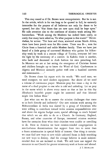This may sound as if Dr. Brown were overoptimistic. But he is not. In the article, which is far too long to be quoted in full, he earnestly intercedes for the prayers of all believers not only for doors to be opened, but also "that doors that are now open shall be kept open." He calls attention also to the costliness of mission work among Mohammedans. "Work among the Moslems has indeed been costly, so costly that many have asked us, 'To what purpose is this waste?'" Nevertheless, he writes: "Yet here and there, scattered across North Africa, there have been jewels won for His crown. There was B-, won for Christ from a fanatical and noble Moslem family. Then we have just heard of a little group of converted Moslems who gather for fellowship week by week in a remote village of Tunisia, everyone led into the light by the testimony of a convert. In Kabilia there is another, who built and decorated in Arab fashion his own preaching hall. In Morocco we are at last seeing the emergence of Christian homes and children brought up to know the Word of God. Conferences in Algeria and Morocco annually gather well over a hundred converts and missionaries .... "

Dr. Brown closes his report with the words: "We need men; we need transport; we need modern equipment. But above all we need a volume of continuous prayer. Moslems pray five times a day in the name of a dead prophet to one who is cold and unfeeling. Let us pray in the name which is above every name so that at last in this day Abraham's heartfelt prayer might be answered and that Ishmael might live before Him."

Just what can we do to answer the mission challenges that come to us both directly and indirectly? Our new mission work among the Mohammedans in India was started by a group of Christians who were willing to contribute toward wider mission responsibilities over and above the regular budget sums, special offerings to reach beyond that which we are able to do as a Church. In Germany, England, France, and other countries of Europe, interested mission societies have for centuries done what their churches were unable or unwilling to do. Here in America we have mission-minded congregations in non-Lutheran denominations that support from two to more than a dozen missionaries in special fields of interest. One thing is certain: we must find new ways to save while unloosed Satan is daily searching out new ways to destroy. And the average believer is more missionminded than we are inclined to think. We still have not tapped the resources in our Church for greater missionary work at home and abroad. J. T. MUELLER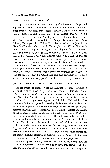# ''jESUITISCHE FESTUNG AMERIKA"

The Jesuits have drawn a complete ring of universities, colleges, and high schools around our country, and many in the interior. Here are cities having Jesuit secondary schools: Portland,Me.; Boston, Worcester, Lenox, Mass.; Fairfield, Conn.; New York, Buffalo, Syracuse, N. Y.; Jersey City, N. J.; Scranton, Philadelphia, Pa.; Baltimore, Garrett Park, Md.; Detroit, Mich.; Cleveland, Ohio; Tampa, Fla.; Mobile, Ala.; New Orleans, Shreveport, La.; Dallas, Tex.; Los Angeles, San Jose, Santa Clara, San Francisco, Calif.; Seattle, Tacoma, Yakima, Wash. Cities with Jesuit schools of higher learning are: Washington, D.C., Cincinnati, Ohio, St. Louis, Mo., Chicago, Ill., Milwaukee, Prairie Du Chien, Wis., Omaha, Nebr., Kansas City, Mo., Denver, Colo. Nor is this the end, for Jesuitism is planning yet more universities, colleges, and high schools. Jesuit education, however, is only a part of the Roman Catholic educational program. There are many Roman Catholic universities, colleges, and high schools that are outside the Jesuit order. This sketch of the *Jesuitische Festung Amerika* should startle the Missouri Synod Lutheran who contemplates that his Church has only one university, a few high schools, and not too many parish schools. J. T. MUELLER

# GERMAN LUTHERAN BISHOPS DENOUNCE ROME'S NEW DOGMA

The repercussions caused by the proclamation of Mary's assumption are much greater in Germany than in our country. Here the general public remained virtually indifferent to the action taken by the man on the Tiber. The Christian people see in the new dogma the necessary sequel to the two previous dogmas published in 1854 and in 1870. American Lutherans, generally speaking, believe that the proclamation of this new dogma is only another symptom of the Antichristian character which Rome has so patently manifested in the decrees and canons of the Council of Trent. American Lutherans realize that in 1563, with the conclusion of the Council of Trent, Rome has officially forfeited its claim to catholicity, because in the Council of Trent it established the Roman Church as a sect by formally cutting itself off from the *Christian*  tradition of the preceding centuries. In Germany, however, the new dogma caused great consternation, as is evident in the Lutheran Bishops' pastoral letter on this issue. There are probably two chief reasons for the totally different reactions in Germany and in America to the most recent evidence of the Antichristian character of the papal system.

In the first place, in many territories of Germany the Evangelical and the Roman Churches have worked side by side, each leaving the other very much alone. As an example, we might mention the arrangement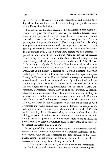at the Tuebingen University, where the Evangelical and Catholic theological faculties are housed in the same building and jointly use some of the University's facilities.

The second and the chief reason is the phenomenon that Rome has several theological "faces," and in Germany it reveals a different "face" than in other parts of the world. Since the war cordial and fraternal discussions have been carried on between Evangelical and Catholic pastors, though a papal *Monitum* of 1950 actually proscribes this. Many Evangelical clergymen entertained the hope that German Catholic theologians would become actual "partners" in theological discussions. In our contacts with German Evangelical pastors we had occasion repeatedly to warn against such false hopes. Nevertheless the fact remains that in many sections of Germany the Roman Catholic clergymen are more "evangelical" than anywhere else in the world. The German Catholic clergy study the Bible and follow Lutheran dogmatics quite closely. A prominent Catholic scholar told us that he has Pieper-Mueller Dogmatics in his library. Therefore the German Lutheran clergyman finds it quite difficult to understand how a Roman theologian can speak "evangelically" — as many German Catholic theologians do — and yet unconditionally submit to the new dogma. By philosophical and theological arguments "evangelical" Roman theologians endeavor to make the new dogma theologically meaningful (cp. my article "Mary's Assumption, a Symptom," March, 1950, issue of this journal). A recently advanced argument runs as follows: God does not *force* any of His gifts on mankind. Therefore man's redemption requires not only God's activity, but also man's willingness to accept it. Christ represents God's activity, and Mary by her willingness to become the mother of God represents the whole human race in its willingness to accept God's redemptive work. For this reason Mary must share in all of Christ's works, including the bodily assumption, not as the initiator, but as the willing recipient. A rather specious argument is contained in the following rhetorical question: "Is it not much more pious to maintain both Christ's and Mary's assumption than to deny both, as so many of the liberal Protestant theologians do?"

In the light of this situation in Germany we can understand the difference in the approach of German and American Lutherans to the new dogma. One can also appreciate the deep concern of the Evangelical bishops in publishing the following pastoral letter, which was received a few days ago from Bishop Meiser's office.

1. The dogma of Mary's bodily assumption has no basis whatsoever in the Scriptures and contradicts the clear testimony concerning the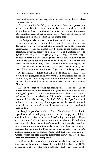sequential relation of the resurrection of believers to that of Christ (1 Cor. 15:23 f.).

Scripture testifies that Mary, the mother of Jesus, was placed into the service of God in a unique way, so that as a virgin she gave birth to the Son of God. For that reason it is correct when the ancient church fathers speak of her as the mother of God, and in this respect she occupies a singular position in the human race.

But Scripture also shows us that Mary, as all other mortals, was unable to understand the work of Jesus and that His entire life was for her not only a sorrow, but also an offense. After the death and resurrection of Jesus she undoubtedly belonged to the Apostolic congregation, however, merely as a member. The Scriptures give no evidence whatever that the congregation honored her with special respect. If Mary is elevated through the anti-Biblical claim that by her immaculate conception and her assumption she was actually removed from the rest of humanity, elevated above all saints and angels, and was even made co-mediatrix and co-redemptrix next to Christ, then the Biblical picture of the mother of Jesus is completely destroyed.

By establishing a dogma that the body of Mary has already been assumed into glory, man anticipates what God has reserved for the end of time; yes, still more, Mary receives honor and rank which is similar to that of Christ and separates her from the rest of the Christian Church.

Also in the post-Apostolic testimonies there is no reference to Mary's assumption. Approximately 400 years after Christ the following legend appears: The Apostles were gathered about Mary's deathbed when Jesus approached with His angels, received her soul and committed it to the Archangel Michael. When the Apostles wanted to bury her on the next day, Jesus appeared for the second time and removed her body in a cloud into Paradise, where her body and soul were united.

Although responsible teachers of the Church have declared this legend as spurious, folk piety, nurtured in part by pagan traditions, established the festival in honor of Mary's alleged assumption. However, as late as 1568, a Roman breviary states that the Church does not know what happened to Mary's body. By elevating the legend of Mary's assumption to an article of faith and by making its acceptance necessary for salvation, the Pope has departed radically from Rome's historic position on traditions. Rome held that only that is truly Catholic which has been believed everywhere, always, and by all. The Pope has disavowed this completely.

3. Universal Christendom is confronted for the first time with the fact that the Pope, on the basis of the infallibility decree of 1870, decrees an article of faith. The opposition which was voiced by all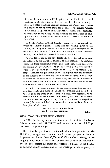Christian denominations in 1870 against the infallibility decree, and which led to the defection of the Old Catholic Church, is now justified in a most terrifying manner through the Pope's new dogma. This dogma is not, as many other old dogmas of the Roman Church, an erroneous interpretation of the Apostolic doctrine. It has absolutely no foundation in the message of the Apostles and is therefore in principle the Pope's refusal to be obedient to the Apostles of our Lord Jesus Christ.

Although Roman Catholic theology endeavors to distinguish between the adoration given to Mary and the worship given to the Trinity, folk piety will unavoidably be led to a gross transgression of the First Commandment. The motto: "Via Mary to Christ," obscures the way which God has revealed for man's salvation.

4. The declaration of the new dogma fills us with grief as we view the relation of the Christian churches to one another. The common warfare in these apocalyptic times against diabolical forces had drawn the various Christian Churches to one another in such a way that they were ready to listen to one another and to learn of one another. This reapproachment was predicated on the assumption that the testimony of the Apostles is the only basis for Christian doctrine. But through its decree the Romaa Church has irrevocably forsaken this foundation. We note with deep grief the consequences which this denial of the foundations of the Church must bring about.

5. In this hour again we testify to our congregations that our salvation rests solely and alone in Christ, the crucified and risen Lord. We abide by the word of our Lord: "No man hath ascended up to heaven but He that came down from heaven, even the Son of Man, which is in heaven" (John  $3:13$ ). We call upon our congregations to testify by word and deed that we need no other mediator than our Lord Jesus Christ, since

> On Christ's ascension I now build The hope of mine ascension. F.E.M.

ITEMS FROM "RELIGIOUS NEWS SERVICE"

In 1949 the Sunday school enrollment in the 243,454 Sunday or Sabbath schools totaled 28,893,789 and marked an increase of 7.03 per cent over the previous year.

The luther league of America, the official youth organization of the U. 1. C. A., has approved a summer youth caravan program to increase its present enrollment from 30,000 to 80,000 members. Young people ranging in age from 18 to 24 will be sent out on tours in caravans of five or six to present programs and speeches on behalf of the league at lutheran church conventions, at the meetings of youth groups in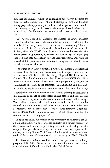churches and summer camps. In announcing the caravan program the Rev. F. Leslie Conrad said: "We will attempt to give our Lutheran young people the opportunity to find the faith to go with these troubled times through a program that accepts the changes brought about by the A-bomb and the H-bomb, just as the youths have already accepted them."

The World Council of Churches has selected St. Paulus Lutheran Church of the American Lutheran Church as one of five churches for a study of "the evangelization of modern man in mass society." Located within six blocks of the big stockyards and meat-packing plants in St. Paul, Minn., the World Council's study committee believes that this parish offers an opportunity to survey and evaluate special techniques that are being used successfully to reach industrial populations with the Gospel and to pass on these techniques in special articles to other churches in industrial areas.

The Order of St. Luke, a national liturgical brotherhood of Methodist ministers, held its third annual convocation in Chicago. Features of the sessions were talks by the Rt. Rev. Msgr. Reynold Hillebrand of the Catholic Liturgical Conference and Mar Eshai Shimm XXIII, Catholicos patriarch of the Church of the East. The program was devoted to "magnifying the place of the sacrament" in Methodism and encouraging wider loyalty to Methodist ritual and use of the book of worship.

Members of the Philadelphia Friends General Meeting re-emphasized the ministry of silence at their recent annual session and insisted that it was as vital today as when the sect was founded almost 300 years ago. They believe, however, that their silent worship should be complemented by a vocal ministry and called upon one another to offer both a "prepared" and a "spontaneous" type of vocal ministry. Their historian, Horace Mather Lippincott, said: "It is the minister and not the sermon that needs to be prepared."

In 1944 the Hillel Foundation at the University of Minnesota set up a \$300 scholarship which is awarded annually to a Jewish student for the greatest contribution in promoting interfaith relationships on the campus. This year the scholarship has been set aside to perpetuate the memory of King Gustav V of Sweden for his work in rescuing thousands of Jews from Nazi-dominated countries early in World War II.

The National Catholic Welfare Conference presented a building program of \$250,000,000 in the next five years for the expansion and modernization of Catholic schools in the United States.